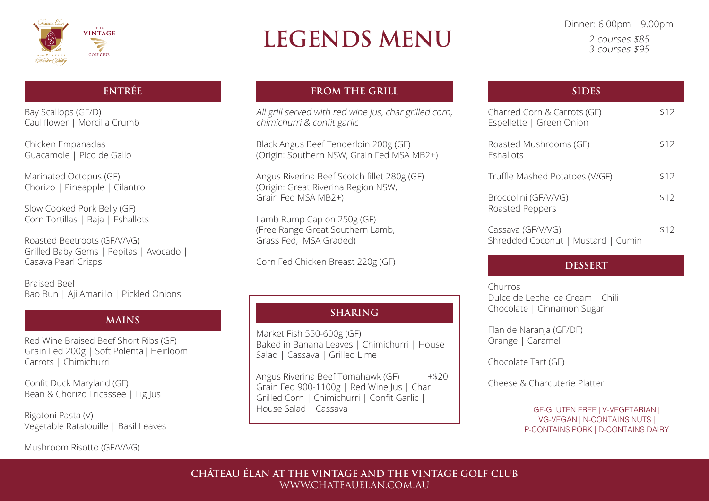

# **LEGENDS MENU**

Dinner: 6.00pm – 9.00pm 2-courses \$85 3-courses \$95

GF-GLUTEN FREE | V-VEGETARIAN | VG-VEGAN | N-CONTAINS NUTS | P-CONTAINS PORK | D-CONTAINS DAIRY

# **ENTRÉE**

Bay Scallops (GF/D) Cauliflower | Morcilla Crumb

Chicken Empanadas Guacamole | Pico de Gallo

Marinated Octopus (GF) Chorizo | Pineapple | Cilantro

Slow Cooked Pork Belly (GF) Corn Tortillas | Baja | Eshallots All grill served with red wine jus, char grilled corn, chimichurri & confit garlic

Roasted Beetroots (GF/V/VG) Grilled Baby Gems | Pepitas | Avocado | Casava Pearl Crisps

Braised Beef Bao Bun | Aji Amarillo | Pickled Onions

Red Wine Braised Beef Short Ribs (GF) Grain Fed 200g | Soft Polenta| Heirloom Carrots | Chimichurri

Confit Duck Maryland (GF) Bean & Chorizo Fricassee | Fig Jus

Rigatoni Pasta (V) Vegetable Ratatouille | Basil Leaves Market Fish 550-600g (GF) Baked in Banana Leaves | Chimichurri | House Salad | Cassava | Grilled Lime

Mushroom Risotto (GF/V/VG)

# **MAINS**

# **FROM THE GRILL**

Angus Riverina Beef Tomahawk (GF) +\$20 Grain Fed 900-1100g | Red Wine Jus | Char Grilled Corn | Chimichurri | Confit Garlic | House Salad | Cassava

Truffle Mash

Black Angus Beef Tenderloin 200g (GF) (Origin: Southern NSW, Grain Fed MSA MB2+)

Angus Riverina Beef Scotch fillet 280g (GF) (Origin: Great Riverina Region NSW, Grain Fed MSA MB2+)

Lamb Rump Cap on 250g (GF) (Free Range Great Southern Lamb, Grass Fed, MSA Graded)

Corn Fed Chicken Breast 220g (GF)

| <b>SIDES</b>                                            |      |
|---------------------------------------------------------|------|
| Charred Corn & Carrots (GF)<br>Espellette   Green Onion | \$12 |
| Roasted Mushrooms (GF)<br>Eshallots                     | \$12 |
| Truffle Mashed Potatoes (V/GF)                          | \$12 |
| Broccolini (GF/V/VG)<br>Roasted Peppers                 | \$12 |
| Cassava (GF/V/VG)<br>Shredded Coconut   Mustard   Cumin | \$12 |

Churros Dulce de Leche Ice Cream | Chili Chocolate | Cinnamon Sugar

Flan de Naranja (GF/DF) Orange | Caramel

Chocolate Tart (GF)

Cheese & Charcuterie Platter

### **DESSERT**

# **SHARING**